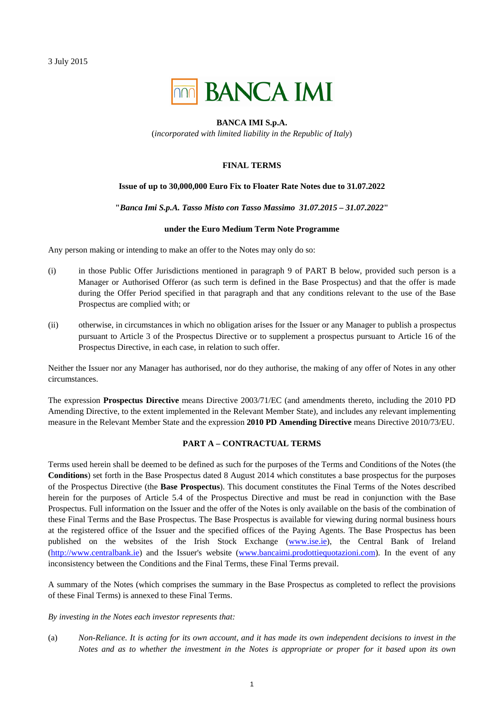3 July 2015



#### **BANCA IMI S.p.A.** (*incorporated with limited liability in the Republic of Italy*)

#### **FINAL TERMS**

#### **Issue of up to 30,000,000 Euro Fix to Floater Rate Notes due to 31.07.2022**

#### **"***Banca Imi S.p.A. Tasso Misto con Tasso Massimo 31.07.2015 – 31.07.2022***"**

#### **under the Euro Medium Term Note Programme**

Any person making or intending to make an offer to the Notes may only do so:

- (i) in those Public Offer Jurisdictions mentioned in paragraph 9 of PART B below, provided such person is a Manager or Authorised Offeror (as such term is defined in the Base Prospectus) and that the offer is made during the Offer Period specified in that paragraph and that any conditions relevant to the use of the Base Prospectus are complied with; or
- (ii) otherwise, in circumstances in which no obligation arises for the Issuer or any Manager to publish a prospectus pursuant to Article 3 of the Prospectus Directive or to supplement a prospectus pursuant to Article 16 of the Prospectus Directive, in each case, in relation to such offer.

Neither the Issuer nor any Manager has authorised, nor do they authorise, the making of any offer of Notes in any other circumstances.

The expression **Prospectus Directive** means Directive 2003/71/EC (and amendments thereto, including the 2010 PD Amending Directive, to the extent implemented in the Relevant Member State), and includes any relevant implementing measure in the Relevant Member State and the expression **2010 PD Amending Directive** means Directive 2010/73/EU.

#### **PART A – CONTRACTUAL TERMS**

Terms used herein shall be deemed to be defined as such for the purposes of the Terms and Conditions of the Notes (the **Conditions**) set forth in the Base Prospectus dated 8 August 2014 which constitutes a base prospectus for the purposes of the Prospectus Directive (the **Base Prospectus**). This document constitutes the Final Terms of the Notes described herein for the purposes of Article 5.4 of the Prospectus Directive and must be read in conjunction with the Base Prospectus. Full information on the Issuer and the offer of the Notes is only available on the basis of the combination of these Final Terms and the Base Prospectus. The Base Prospectus is available for viewing during normal business hours at the registered office of the Issuer and the specified offices of the Paying Agents. The Base Prospectus has been published on the websites of the Irish Stock Exchange (www.ise.ie), the Central Bank of Ireland (http://www.centralbank.ie) and the Issuer's website (www.bancaimi.prodottiequotazioni.com). In the event of any inconsistency between the Conditions and the Final Terms, these Final Terms prevail.

A summary of the Notes (which comprises the summary in the Base Prospectus as completed to reflect the provisions of these Final Terms) is annexed to these Final Terms.

*By investing in the Notes each investor represents that:* 

(a) *Non-Reliance. It is acting for its own account, and it has made its own independent decisions to invest in the Notes and as to whether the investment in the Notes is appropriate or proper for it based upon its own*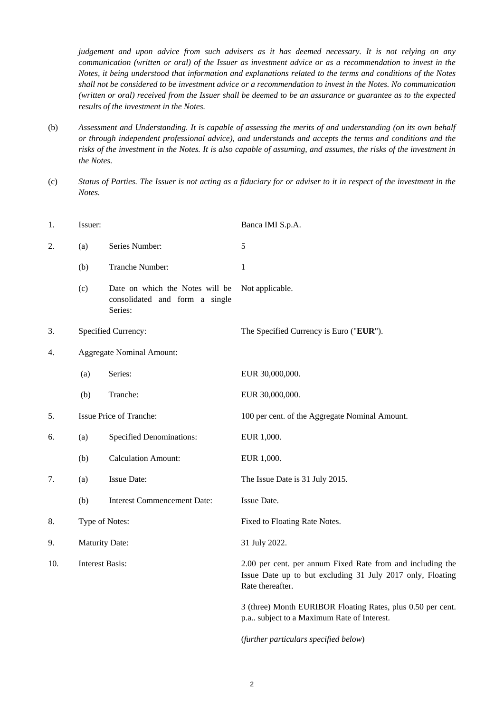*judgement and upon advice from such advisers as it has deemed necessary. It is not relying on any communication (written or oral) of the Issuer as investment advice or as a recommendation to invest in the Notes, it being understood that information and explanations related to the terms and conditions of the Notes shall not be considered to be investment advice or a recommendation to invest in the Notes. No communication (written or oral) received from the Issuer shall be deemed to be an assurance or guarantee as to the expected results of the investment in the Notes.* 

- (b) *Assessment and Understanding. It is capable of assessing the merits of and understanding (on its own behalf or through independent professional advice), and understands and accepts the terms and conditions and the risks of the investment in the Notes. It is also capable of assuming, and assumes, the risks of the investment in the Notes.*
- (c) *Status of Parties. The Issuer is not acting as a fiduciary for or adviser to it in respect of the investment in the Notes.*

| 1.  | Issuer:                |                                                                              | Banca IMI S.p.A.                                                                                                                             |
|-----|------------------------|------------------------------------------------------------------------------|----------------------------------------------------------------------------------------------------------------------------------------------|
| 2.  | (a)                    | Series Number:                                                               | 5                                                                                                                                            |
|     | (b)                    | Tranche Number:                                                              | $\mathbf{1}$                                                                                                                                 |
|     | (c)                    | Date on which the Notes will be<br>consolidated and form a single<br>Series: | Not applicable.                                                                                                                              |
| 3.  |                        | Specified Currency:                                                          | The Specified Currency is Euro ("EUR").                                                                                                      |
| 4.  |                        | <b>Aggregate Nominal Amount:</b>                                             |                                                                                                                                              |
|     | (a)                    | Series:                                                                      | EUR 30,000,000.                                                                                                                              |
|     | (b)                    | Tranche:                                                                     | EUR 30,000,000.                                                                                                                              |
| 5.  |                        | Issue Price of Tranche:                                                      | 100 per cent. of the Aggregate Nominal Amount.                                                                                               |
| 6.  | (a)                    | <b>Specified Denominations:</b>                                              | EUR 1,000.                                                                                                                                   |
|     | (b)                    | <b>Calculation Amount:</b>                                                   | EUR 1,000.                                                                                                                                   |
| 7.  | (a)                    | <b>Issue Date:</b>                                                           | The Issue Date is 31 July 2015.                                                                                                              |
|     | (b)                    | <b>Interest Commencement Date:</b>                                           | Issue Date.                                                                                                                                  |
| 8.  |                        | Type of Notes:                                                               | Fixed to Floating Rate Notes.                                                                                                                |
| 9.  | <b>Maturity Date:</b>  |                                                                              | 31 July 2022.                                                                                                                                |
| 10. | <b>Interest Basis:</b> |                                                                              | 2.00 per cent. per annum Fixed Rate from and including the<br>Issue Date up to but excluding 31 July 2017 only, Floating<br>Rate thereafter. |
|     |                        |                                                                              | 3 (three) Month EURIBOR Floating Rates, plus 0.50 per cent.<br>p.a subject to a Maximum Rate of Interest.                                    |

(*further particulars specified below*)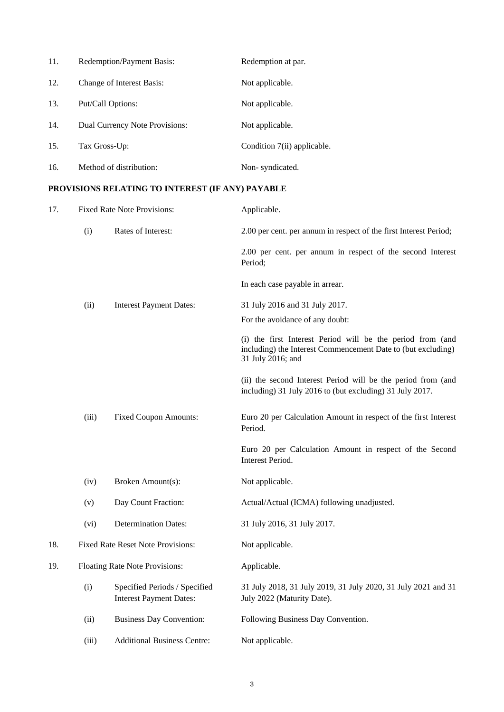| 11. | Redemption/Payment Basis:      | Redemption at par.          |
|-----|--------------------------------|-----------------------------|
| 12. | Change of Interest Basis:      | Not applicable.             |
| 13. | Put/Call Options:              | Not applicable.             |
| 14. | Dual Currency Note Provisions: | Not applicable.             |
| 15. | Tax Gross-Up:                  | Condition 7(ii) applicable. |
| 16. | Method of distribution:        | Non-syndicated.             |

# **PROVISIONS RELATING TO INTEREST (IF ANY) PAYABLE**

| 17. | <b>Fixed Rate Note Provisions:</b> |                                                                 | Applicable.                                                                                                                                     |
|-----|------------------------------------|-----------------------------------------------------------------|-------------------------------------------------------------------------------------------------------------------------------------------------|
|     | (i)                                | Rates of Interest:                                              | 2.00 per cent. per annum in respect of the first Interest Period;                                                                               |
|     |                                    |                                                                 | 2.00 per cent. per annum in respect of the second Interest<br>Period;                                                                           |
|     |                                    |                                                                 | In each case payable in arrear.                                                                                                                 |
|     | (ii)                               | <b>Interest Payment Dates:</b>                                  | 31 July 2016 and 31 July 2017.                                                                                                                  |
|     |                                    |                                                                 | For the avoidance of any doubt:                                                                                                                 |
|     |                                    |                                                                 | (i) the first Interest Period will be the period from (and<br>including) the Interest Commencement Date to (but excluding)<br>31 July 2016; and |
|     |                                    |                                                                 | (ii) the second Interest Period will be the period from (and<br>including) 31 July 2016 to (but excluding) 31 July 2017.                        |
|     | (iii)                              | <b>Fixed Coupon Amounts:</b>                                    | Euro 20 per Calculation Amount in respect of the first Interest<br>Period.                                                                      |
|     |                                    |                                                                 | Euro 20 per Calculation Amount in respect of the Second<br>Interest Period.                                                                     |
|     | (iv)                               | Broken Amount(s):                                               | Not applicable.                                                                                                                                 |
|     | (v)                                | Day Count Fraction:                                             | Actual/Actual (ICMA) following unadjusted.                                                                                                      |
|     | (vi)                               | <b>Determination Dates:</b>                                     | 31 July 2016, 31 July 2017.                                                                                                                     |
| 18. |                                    | <b>Fixed Rate Reset Note Provisions:</b>                        | Not applicable.                                                                                                                                 |
| 19. |                                    | Floating Rate Note Provisions:                                  | Applicable.                                                                                                                                     |
|     | (i)                                | Specified Periods / Specified<br><b>Interest Payment Dates:</b> | 31 July 2018, 31 July 2019, 31 July 2020, 31 July 2021 and 31<br>July 2022 (Maturity Date).                                                     |
|     | (ii)                               | <b>Business Day Convention:</b>                                 | Following Business Day Convention.                                                                                                              |
|     | (iii)                              | <b>Additional Business Centre:</b>                              | Not applicable.                                                                                                                                 |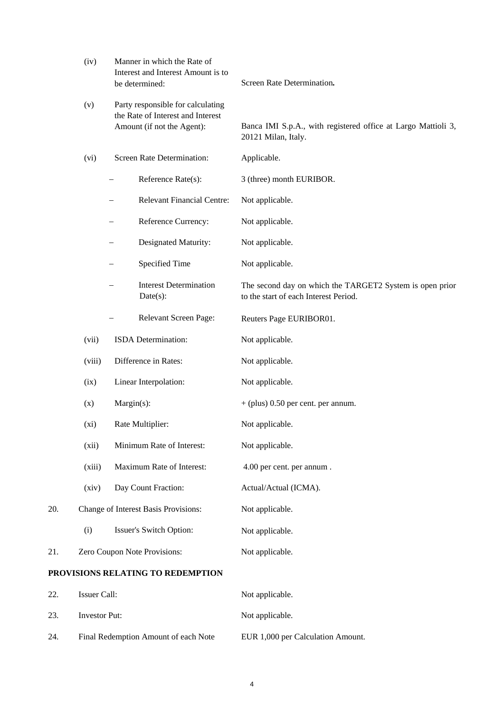|     | (iv)                                 |  | Manner in which the Rate of<br>Interest and Interest Amount is to<br>be determined: | Screen Rate Determination.                                                                        |
|-----|--------------------------------------|--|-------------------------------------------------------------------------------------|---------------------------------------------------------------------------------------------------|
|     | (v)                                  |  | Party responsible for calculating                                                   |                                                                                                   |
|     |                                      |  | the Rate of Interest and Interest<br>Amount (if not the Agent):                     | Banca IMI S.p.A., with registered office at Largo Mattioli 3,<br>20121 Milan, Italy.              |
|     | (vi)                                 |  | Screen Rate Determination:                                                          | Applicable.                                                                                       |
|     |                                      |  | Reference Rate(s):                                                                  | 3 (three) month EURIBOR.                                                                          |
|     |                                      |  | <b>Relevant Financial Centre:</b>                                                   | Not applicable.                                                                                   |
|     |                                      |  | Reference Currency:                                                                 | Not applicable.                                                                                   |
|     |                                      |  | Designated Maturity:                                                                | Not applicable.                                                                                   |
|     |                                      |  | Specified Time                                                                      | Not applicable.                                                                                   |
|     |                                      |  | <b>Interest Determination</b><br>Date(s):                                           | The second day on which the TARGET2 System is open prior<br>to the start of each Interest Period. |
|     |                                      |  | Relevant Screen Page:                                                               | Reuters Page EURIBOR01.                                                                           |
|     | (vii)                                |  | ISDA Determination:                                                                 | Not applicable.                                                                                   |
|     | (viii)                               |  | Difference in Rates:                                                                | Not applicable.                                                                                   |
|     | (ix)                                 |  | Linear Interpolation:                                                               | Not applicable.                                                                                   |
|     | (x)                                  |  | Margin(s):                                                                          | $+$ (plus) 0.50 per cent. per annum.                                                              |
|     | (xi)                                 |  | Rate Multiplier:                                                                    | Not applicable.                                                                                   |
|     | (xii)                                |  | Minimum Rate of Interest:                                                           | Not applicable.                                                                                   |
|     | (xiii)                               |  | Maximum Rate of Interest:                                                           | 4.00 per cent. per annum.                                                                         |
|     | (xiv)                                |  | Day Count Fraction:                                                                 | Actual/Actual (ICMA).                                                                             |
| 20. |                                      |  | Change of Interest Basis Provisions:                                                | Not applicable.                                                                                   |
|     | (i)                                  |  | Issuer's Switch Option:                                                             | Not applicable.                                                                                   |
| 21. |                                      |  | Zero Coupon Note Provisions:                                                        | Not applicable.                                                                                   |
|     |                                      |  | PROVISIONS RELATING TO REDEMPTION                                                   |                                                                                                   |
| 22. | Issuer Call:                         |  |                                                                                     | Not applicable.                                                                                   |
| 23. | Investor Put:                        |  |                                                                                     | Not applicable.                                                                                   |
| 24. | Final Redemption Amount of each Note |  |                                                                                     | EUR 1,000 per Calculation Amount.                                                                 |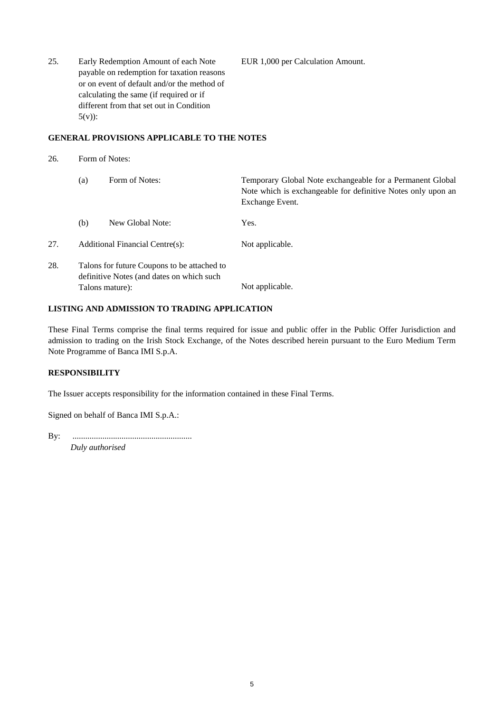25. Early Redemption Amount of each Note payable on redemption for taxation reasons or on event of default and/or the method of calculating the same (if required or if different from that set out in Condition 5(v)): EUR 1,000 per Calculation Amount.

## **GENERAL PROVISIONS APPLICABLE TO THE NOTES**

26. Form of Notes:

|     | (a)                                                                                                         | Form of Notes:                  | Temporary Global Note exchangeable for a Permanent Global<br>Note which is exchangeable for definitive Notes only upon an<br>Exchange Event. |
|-----|-------------------------------------------------------------------------------------------------------------|---------------------------------|----------------------------------------------------------------------------------------------------------------------------------------------|
|     | (b)                                                                                                         | New Global Note:                | Yes.                                                                                                                                         |
| 27. |                                                                                                             | Additional Financial Centre(s): | Not applicable.                                                                                                                              |
| 28. | Talons for future Coupons to be attached to<br>definitive Notes (and dates on which such<br>Talons mature): |                                 | Not applicable.                                                                                                                              |

## **LISTING AND ADMISSION TO TRADING APPLICATION**

These Final Terms comprise the final terms required for issue and public offer in the Public Offer Jurisdiction and admission to trading on the Irish Stock Exchange, of the Notes described herein pursuant to the Euro Medium Term Note Programme of Banca IMI S.p.A.

## **RESPONSIBILITY**

The Issuer accepts responsibility for the information contained in these Final Terms.

Signed on behalf of Banca IMI S.p.A.:

| By: |                 |
|-----|-----------------|
|     | Duly authorised |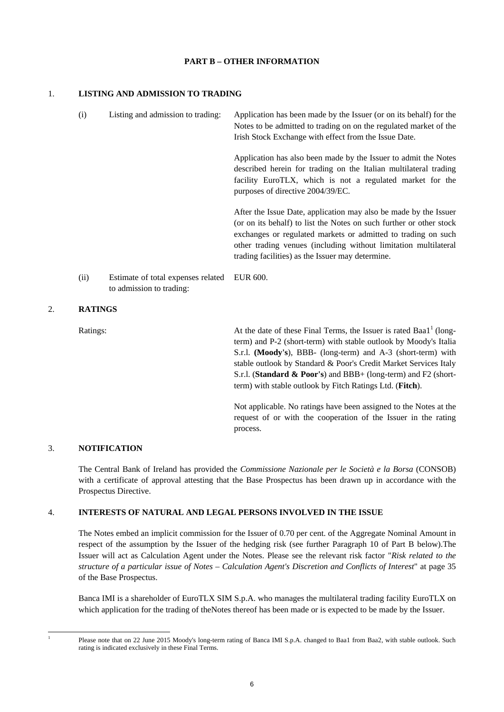## **PART B – OTHER INFORMATION**

#### 1. **LISTING AND ADMISSION TO TRADING**

|    | (i)            | Listing and admission to trading:                              | Application has been made by the Issuer (or on its behalf) for the<br>Notes to be admitted to trading on on the regulated market of the<br>Irish Stock Exchange with effect from the Issue Date.                                                                                                                                |
|----|----------------|----------------------------------------------------------------|---------------------------------------------------------------------------------------------------------------------------------------------------------------------------------------------------------------------------------------------------------------------------------------------------------------------------------|
|    |                |                                                                | Application has also been made by the Issuer to admit the Notes<br>described herein for trading on the Italian multilateral trading<br>facility EuroTLX, which is not a regulated market for the<br>purposes of directive 2004/39/EC.                                                                                           |
|    |                |                                                                | After the Issue Date, application may also be made by the Issuer<br>(or on its behalf) to list the Notes on such further or other stock<br>exchanges or regulated markets or admitted to trading on such<br>other trading venues (including without limitation multilateral<br>trading facilities) as the Issuer may determine. |
|    | (ii)           | Estimate of total expenses related<br>to admission to trading: | EUR 600.                                                                                                                                                                                                                                                                                                                        |
| 2. | <b>RATINGS</b> |                                                                |                                                                                                                                                                                                                                                                                                                                 |
|    | Ratings:       |                                                                | At the date of these Final Terms, the Issuer is rated Baa1 <sup>1</sup> (long-                                                                                                                                                                                                                                                  |

term) and P-2 (short-term) with stable outlook by Moody's Italia S.r.l. **(Moody's**), BBB- (long-term) and A-3 (short-term) with stable outlook by Standard & Poor's Credit Market Services Italy S.r.l. (**Standard & Poor's**) and BBB+ (long-term) and F2 (shortterm) with stable outlook by Fitch Ratings Ltd. (**Fitch**).

 Not applicable. No ratings have been assigned to the Notes at the request of or with the cooperation of the Issuer in the rating process.

## 3. **NOTIFICATION**

The Central Bank of Ireland has provided the *Commissione Nazionale per le Società e la Borsa* (CONSOB) with a certificate of approval attesting that the Base Prospectus has been drawn up in accordance with the Prospectus Directive.

#### 4. **INTERESTS OF NATURAL AND LEGAL PERSONS INVOLVED IN THE ISSUE**

The Notes embed an implicit commission for the Issuer of 0.70 per cent. of the Aggregate Nominal Amount in respect of the assumption by the Issuer of the hedging risk (see further Paragraph 10 of Part B below).The Issuer will act as Calculation Agent under the Notes. Please see the relevant risk factor "*Risk related to the structure of a particular issue of Notes* – *Calculation Agent's Discretion and Conflicts of Interest*" at page 35 of the Base Prospectus.

Banca IMI is a shareholder of EuroTLX SIM S.p.A. who manages the multilateral trading facility EuroTLX on which application for the trading of theNotes thereof has been made or is expected to be made by the Issuer.

 $\frac{1}{1}$ 

Please note that on 22 June 2015 Moody's long-term rating of Banca IMI S.p.A. changed to Baa1 from Baa2, with stable outlook. Such rating is indicated exclusively in these Final Terms.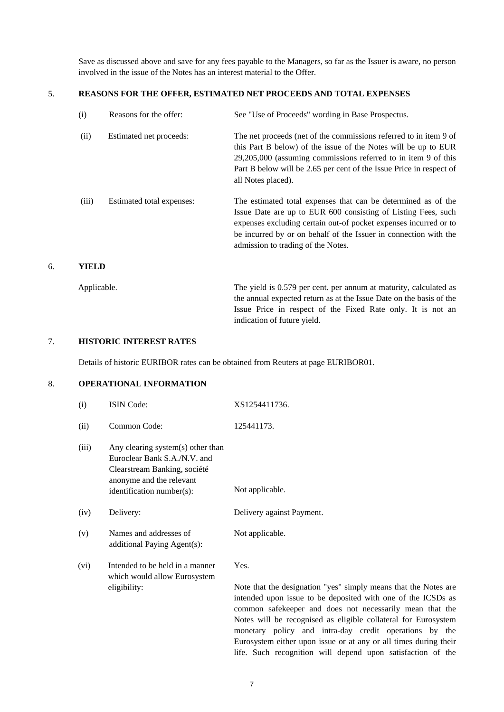Save as discussed above and save for any fees payable to the Managers, so far as the Issuer is aware, no person involved in the issue of the Notes has an interest material to the Offer.

## 5. **REASONS FOR THE OFFER, ESTIMATED NET PROCEEDS AND TOTAL EXPENSES**

| (i)   | Reasons for the offer:    | See "Use of Proceeds" wording in Base Prospectus.                                                                                                                                                                                                                                                            |
|-------|---------------------------|--------------------------------------------------------------------------------------------------------------------------------------------------------------------------------------------------------------------------------------------------------------------------------------------------------------|
| (ii)  | Estimated net proceeds:   | The net proceeds (net of the commissions referred to in item 9 of<br>this Part B below) of the issue of the Notes will be up to EUR<br>29,205,000 (assuming commissions referred to in item 9 of this<br>Part B below will be 2.65 per cent of the Issue Price in respect of<br>all Notes placed).           |
| (iii) | Estimated total expenses: | The estimated total expenses that can be determined as of the<br>Issue Date are up to EUR 600 consisting of Listing Fees, such<br>expenses excluding certain out-of pocket expenses incurred or to<br>be incurred by or on behalf of the Issuer in connection with the<br>admission to trading of the Notes. |

## 6. **YIELD**

Applicable. The yield is 0.579 per cent. per annum at maturity, calculated as the annual expected return as at the Issue Date on the basis of the Issue Price in respect of the Fixed Rate only. It is not an indication of future yield.

## 7. **HISTORIC INTEREST RATES**

Details of historic EURIBOR rates can be obtained from Reuters at page EURIBOR01.

## 8. **OPERATIONAL INFORMATION**

| (i)     | <b>ISIN</b> Code:                                                                                                                                          | XS1254411736.                                                                             |
|---------|------------------------------------------------------------------------------------------------------------------------------------------------------------|-------------------------------------------------------------------------------------------|
| (ii)    | Common Code:                                                                                                                                               | 125441173.                                                                                |
| (iii)   | Any clearing system(s) other than<br>Euroclear Bank S.A./N.V. and<br>Clearstream Banking, société<br>anonyme and the relevant<br>identification number(s): | Not applicable.                                                                           |
| (iv)    | Delivery:                                                                                                                                                  | Delivery against Payment.                                                                 |
| (v)     | Names and addresses of<br>additional Paying Agent(s):                                                                                                      | Not applicable.                                                                           |
| $(v_i)$ | Intended to be held in a manner<br>which would allow Eurosystem<br>eligibility:                                                                            | Yes.<br>Note that the designation '<br>intended upon issue to be<br>common safekeeper and |
|         |                                                                                                                                                            | Notes will be recognised                                                                  |

"yes" simply means that the Notes are deposited with one of the ICSDs as does not necessarily mean that the as eligible collateral for Eurosystem monetary policy and intra-day credit operations by the Eurosystem either upon issue or at any or all times during their life. Such recognition will depend upon satisfaction of the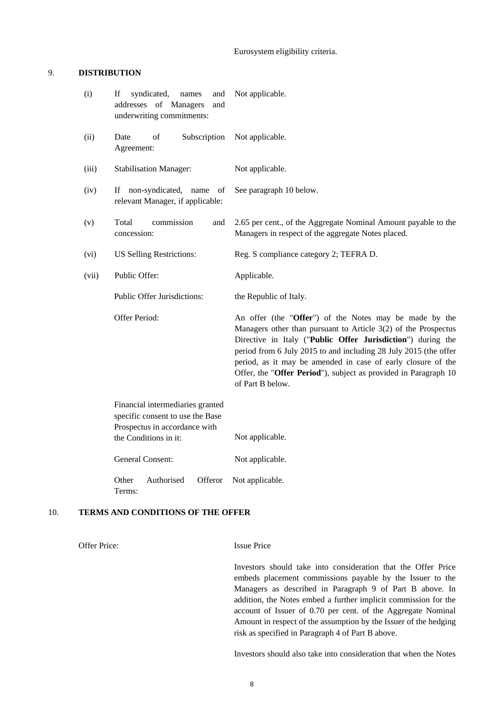Eurosystem eligibility criteria.

## 9. **DISTRIBUTION**

| (i)   | syndicated,<br>If<br>names<br>and<br>addresses of Managers<br>and<br>underwriting commitments:        | Not applicable.                                                                                                                                                                                                                                                                                                                                                                                                    |
|-------|-------------------------------------------------------------------------------------------------------|--------------------------------------------------------------------------------------------------------------------------------------------------------------------------------------------------------------------------------------------------------------------------------------------------------------------------------------------------------------------------------------------------------------------|
| (ii)  | of<br>Date<br>Subscription<br>Agreement:                                                              | Not applicable.                                                                                                                                                                                                                                                                                                                                                                                                    |
| (iii) | <b>Stabilisation Manager:</b>                                                                         | Not applicable.                                                                                                                                                                                                                                                                                                                                                                                                    |
| (iv)  | non-syndicated, name<br>If<br>of<br>relevant Manager, if applicable:                                  | See paragraph 10 below.                                                                                                                                                                                                                                                                                                                                                                                            |
| (v)   | Total<br>commission<br>and<br>concession:                                                             | 2.65 per cent., of the Aggregate Nominal Amount payable to the<br>Managers in respect of the aggregate Notes placed.                                                                                                                                                                                                                                                                                               |
| (vi)  | <b>US Selling Restrictions:</b>                                                                       | Reg. S compliance category 2; TEFRA D.                                                                                                                                                                                                                                                                                                                                                                             |
| (vii) | Public Offer:                                                                                         | Applicable.                                                                                                                                                                                                                                                                                                                                                                                                        |
|       | <b>Public Offer Jurisdictions:</b>                                                                    | the Republic of Italy.                                                                                                                                                                                                                                                                                                                                                                                             |
|       | Offer Period:                                                                                         | An offer (the "Offer") of the Notes may be made by the<br>Managers other than pursuant to Article 3(2) of the Prospectus<br>Directive in Italy ("Public Offer Jurisdiction") during the<br>period from 6 July 2015 to and including 28 July 2015 (the offer<br>period, as it may be amended in case of early closure of the<br>Offer, the "Offer Period"), subject as provided in Paragraph 10<br>of Part B below. |
|       | Financial intermediaries granted<br>specific consent to use the Base<br>Prospectus in accordance with |                                                                                                                                                                                                                                                                                                                                                                                                                    |
|       | the Conditions in it:                                                                                 | Not applicable.                                                                                                                                                                                                                                                                                                                                                                                                    |
|       | <b>General Consent:</b>                                                                               | Not applicable.                                                                                                                                                                                                                                                                                                                                                                                                    |
|       | Offeror                                                                                               | Not applicable.                                                                                                                                                                                                                                                                                                                                                                                                    |

Terms:

## 10. **TERMS AND CONDITIONS OF THE OFFER**

Offer Price: Issue Price

Investors should take into consideration that the Offer Price embeds placement commissions payable by the Issuer to the Managers as described in Paragraph 9 of Part B above. In addition, the Notes embed a further implicit commission for the account of Issuer of 0.70 per cent. of the Aggregate Nominal Amount in respect of the assumption by the Issuer of the hedging risk as specified in Paragraph 4 of Part B above.

Investors should also take into consideration that when the Notes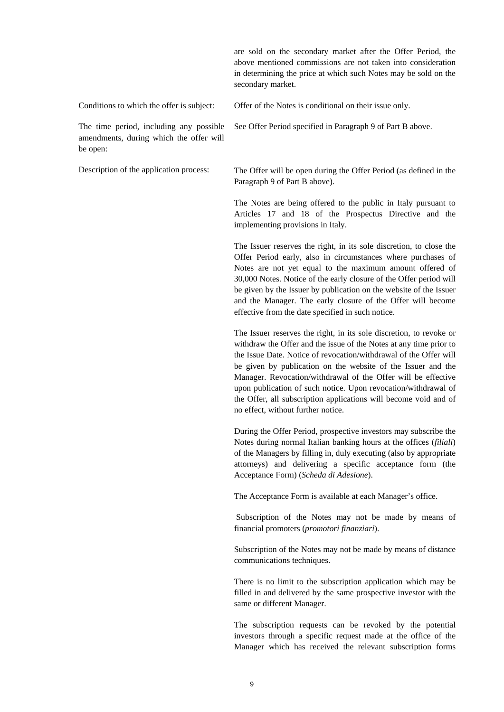are sold on the secondary market after the Offer Period, the above mentioned commissions are not taken into consideration in determining the price at which such Notes may be sold on the secondary market. Conditions to which the offer is subject: Offer of the Notes is conditional on their issue only. The time period, including any possible amendments, during which the offer will be open: See Offer Period specified in Paragraph 9 of Part B above. Description of the application process: The Offer will be open during the Offer Period (as defined in the Paragraph 9 of Part B above). The Notes are being offered to the public in Italy pursuant to Articles 17 and 18 of the Prospectus Directive and the implementing provisions in Italy. The Issuer reserves the right, in its sole discretion, to close the Offer Period early, also in circumstances where purchases of Notes are not yet equal to the maximum amount offered of 30,000 Notes. Notice of the early closure of the Offer period will be given by the Issuer by publication on the website of the Issuer and the Manager. The early closure of the Offer will become effective from the date specified in such notice. The Issuer reserves the right, in its sole discretion, to revoke or withdraw the Offer and the issue of the Notes at any time prior to the Issue Date. Notice of revocation/withdrawal of the Offer will be given by publication on the website of the Issuer and the Manager. Revocation/withdrawal of the Offer will be effective upon publication of such notice. Upon revocation/withdrawal of the Offer, all subscription applications will become void and of no effect, without further notice. During the Offer Period, prospective investors may subscribe the Notes during normal Italian banking hours at the offices (*filiali*) of the Managers by filling in, duly executing (also by appropriate attorneys) and delivering a specific acceptance form (the Acceptance Form) (*Scheda di Adesione*). The Acceptance Form is available at each Manager's office. Subscription of the Notes may not be made by means of financial promoters (*promotori finanziari*). Subscription of the Notes may not be made by means of distance communications techniques.

> There is no limit to the subscription application which may be filled in and delivered by the same prospective investor with the same or different Manager.

> The subscription requests can be revoked by the potential investors through a specific request made at the office of the Manager which has received the relevant subscription forms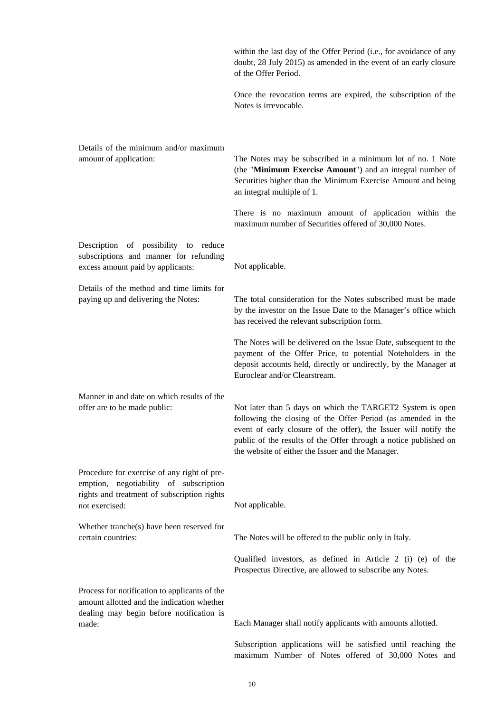within the last day of the Offer Period (i.e., for avoidance of any doubt, 28 July 2015) as amended in the event of an early closure of the Offer Period.

Once the revocation terms are expired, the subscription of the Notes is irrevocable.

| Details of the minimum and/or maximum<br>amount of application:                                                                                        | The Notes may be subscribed in a minimum lot of no. 1 Note<br>(the "Minimum Exercise Amount") and an integral number of<br>Securities higher than the Minimum Exercise Amount and being<br>an integral multiple of 1.                                                                                                  |
|--------------------------------------------------------------------------------------------------------------------------------------------------------|------------------------------------------------------------------------------------------------------------------------------------------------------------------------------------------------------------------------------------------------------------------------------------------------------------------------|
|                                                                                                                                                        | There is no maximum amount of application within the<br>maximum number of Securities offered of 30,000 Notes.                                                                                                                                                                                                          |
| Description of possibility to reduce<br>subscriptions and manner for refunding<br>excess amount paid by applicants:                                    | Not applicable.                                                                                                                                                                                                                                                                                                        |
| Details of the method and time limits for<br>paying up and delivering the Notes:                                                                       | The total consideration for the Notes subscribed must be made<br>by the investor on the Issue Date to the Manager's office which<br>has received the relevant subscription form.                                                                                                                                       |
|                                                                                                                                                        | The Notes will be delivered on the Issue Date, subsequent to the<br>payment of the Offer Price, to potential Noteholders in the<br>deposit accounts held, directly or undirectly, by the Manager at<br>Euroclear and/or Clearstream.                                                                                   |
| Manner in and date on which results of the<br>offer are to be made public:                                                                             | Not later than 5 days on which the TARGET2 System is open<br>following the closing of the Offer Period (as amended in the<br>event of early closure of the offer), the Issuer will notify the<br>public of the results of the Offer through a notice published on<br>the website of either the Issuer and the Manager. |
| Procedure for exercise of any right of pre-<br>emption, negotiability of subscription<br>rights and treatment of subscription rights<br>not exercised: | Not applicable.                                                                                                                                                                                                                                                                                                        |
| Whether tranche(s) have been reserved for<br>certain countries:                                                                                        | The Notes will be offered to the public only in Italy.                                                                                                                                                                                                                                                                 |
|                                                                                                                                                        | Qualified investors, as defined in Article 2 (i) (e) of the<br>Prospectus Directive, are allowed to subscribe any Notes.                                                                                                                                                                                               |
| Process for notification to applicants of the<br>amount allotted and the indication whether<br>dealing may begin before notification is<br>made:       | Each Manager shall notify applicants with amounts allotted.                                                                                                                                                                                                                                                            |
|                                                                                                                                                        | Subscription applications will be satisfied until reaching the<br>maximum Number of Notes offered of 30,000 Notes and                                                                                                                                                                                                  |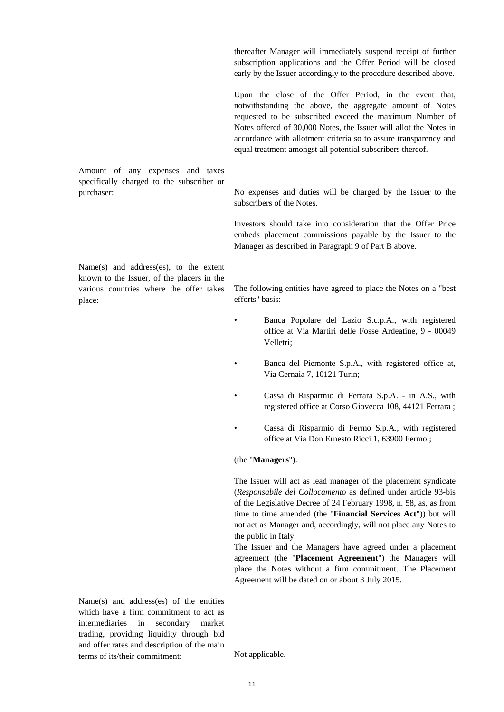thereafter Manager will immediately suspend receipt of further subscription applications and the Offer Period will be closed early by the Issuer accordingly to the procedure described above.

Upon the close of the Offer Period, in the event that, notwithstanding the above, the aggregate amount of Notes requested to be subscribed exceed the maximum Number of Notes offered of 30,000 Notes, the Issuer will allot the Notes in accordance with allotment criteria so to assure transparency and equal treatment amongst all potential subscribers thereof.

Amount of any expenses and taxes specifically charged to the subscriber or

Name(s) and address(es), to the extent known to the Issuer, of the placers in the various countries where the offer takes place:

purchaser: No expenses and duties will be charged by the Issuer to the subscribers of the Notes.

> Investors should take into consideration that the Offer Price embeds placement commissions payable by the Issuer to the Manager as described in Paragraph 9 of Part B above.

> The following entities have agreed to place the Notes on a "best efforts" basis:

- Banca Popolare del Lazio S.c.p.A., with registered office at Via Martiri delle Fosse Ardeatine, 9 - 00049 Velletri;
- Banca del Piemonte S.p.A., with registered office at, Via Cernaia 7, 10121 Turin;
- Cassa di Risparmio di Ferrara S.p.A. in A.S., with registered office at Corso Giovecca 108, 44121 Ferrara ;
- Cassa di Risparmio di Fermo S.p.A., with registered office at Via Don Ernesto Ricci 1, 63900 Fermo ;

#### (the "**Managers**").

The Issuer will act as lead manager of the placement syndicate (*Responsabile del Collocamento* as defined under article 93-bis of the Legislative Decree of 24 February 1998, n. 58, as, as from time to time amended (the "**Financial Services Act**")) but will not act as Manager and, accordingly, will not place any Notes to the public in Italy.

The Issuer and the Managers have agreed under a placement agreement (the "**Placement Agreement**") the Managers will place the Notes without a firm commitment. The Placement Agreement will be dated on or about 3 July 2015.

Name(s) and address(es) of the entities which have a firm commitment to act as intermediaries in secondary market trading, providing liquidity through bid and offer rates and description of the main terms of its/their commitment: Not applicable.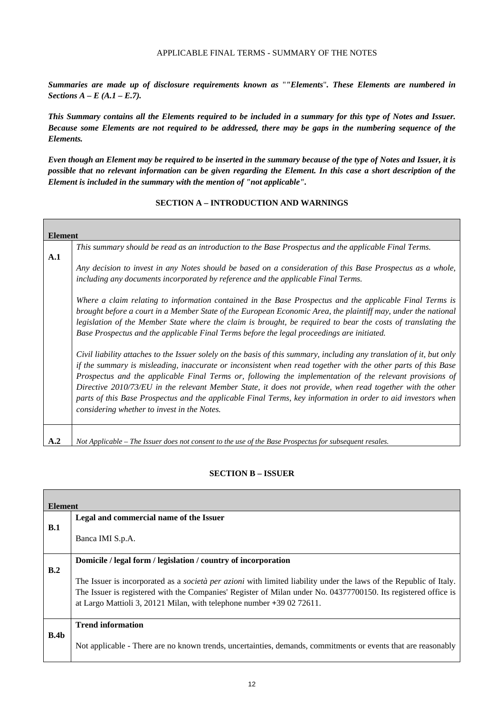## APPLICABLE FINAL TERMS - SUMMARY OF THE NOTES

*Summaries are made up of disclosure requirements known as* "*"Elements*"*. These Elements are numbered in Sections A – E (A.1 – E.7).* 

*This Summary contains all the Elements required to be included in a summary for this type of Notes and Issuer. Because some Elements are not required to be addressed, there may be gaps in the numbering sequence of the Elements.* 

*Even though an Element may be required to be inserted in the summary because of the type of Notes and Issuer, it is possible that no relevant information can be given regarding the Element. In this case a short description of the Element is included in the summary with the mention of "not applicable".* 

## **SECTION A – INTRODUCTION AND WARNINGS**

**Element A.1** *This summary should be read as an introduction to the Base Prospectus and the applicable Final Terms. Any decision to invest in any Notes should be based on a consideration of this Base Prospectus as a whole, including any documents incorporated by reference and the applicable Final Terms. Where a claim relating to information contained in the Base Prospectus and the applicable Final Terms is brought before a court in a Member State of the European Economic Area, the plaintiff may, under the national legislation of the Member State where the claim is brought, be required to bear the costs of translating the Base Prospectus and the applicable Final Terms before the legal proceedings are initiated. Civil liability attaches to the Issuer solely on the basis of this summary, including any translation of it, but only if the summary is misleading, inaccurate or inconsistent when read together with the other parts of this Base Prospectus and the applicable Final Terms or, following the implementation of the relevant provisions of Directive 2010/73/EU in the relevant Member State, it does not provide, when read together with the other parts of this Base Prospectus and the applicable Final Terms, key information in order to aid investors when considering whether to invest in the Notes.*  **A.2** *Not Applicable – The Issuer does not consent to the use of the Base Prospectus for subsequent resales.*

## **SECTION B – ISSUER**

| <b>Element</b> |                                                                                                                                                                                                                                                                                                                      |
|----------------|----------------------------------------------------------------------------------------------------------------------------------------------------------------------------------------------------------------------------------------------------------------------------------------------------------------------|
|                | Legal and commercial name of the Issuer                                                                                                                                                                                                                                                                              |
| B.1            | Banca IMI S.p.A.                                                                                                                                                                                                                                                                                                     |
|                | Domicile / legal form / legislation / country of incorporation                                                                                                                                                                                                                                                       |
| B.2            | The Issuer is incorporated as a <i>società per azioni</i> with limited liability under the laws of the Republic of Italy.<br>The Issuer is registered with the Companies' Register of Milan under No. 04377700150. Its registered office is<br>at Largo Mattioli 3, 20121 Milan, with telephone number +39 02 72611. |
|                | <b>Trend information</b>                                                                                                                                                                                                                                                                                             |
| B.4b           | Not applicable - There are no known trends, uncertainties, demands, commitments or events that are reasonably                                                                                                                                                                                                        |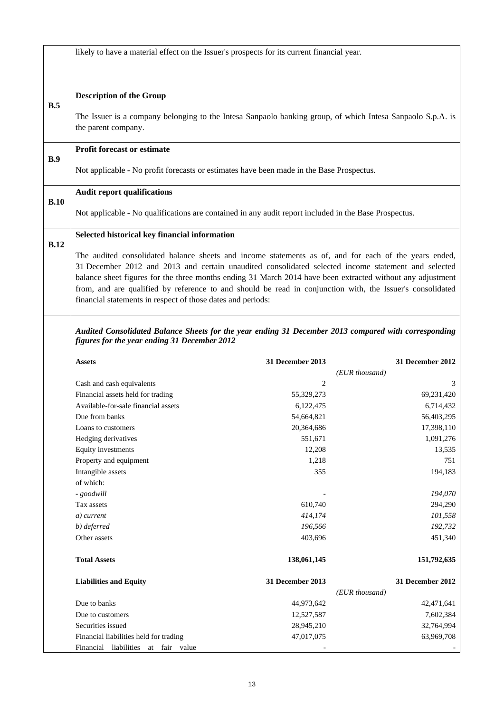|             | likely to have a material effect on the Issuer's prospects for its current financial year.                                                                                                                              |                  |                                    |
|-------------|-------------------------------------------------------------------------------------------------------------------------------------------------------------------------------------------------------------------------|------------------|------------------------------------|
|             |                                                                                                                                                                                                                         |                  |                                    |
|             |                                                                                                                                                                                                                         |                  |                                    |
|             | <b>Description of the Group</b>                                                                                                                                                                                         |                  |                                    |
| B.5         |                                                                                                                                                                                                                         |                  |                                    |
|             | The Issuer is a company belonging to the Intesa Sanpaolo banking group, of which Intesa Sanpaolo S.p.A. is                                                                                                              |                  |                                    |
|             | the parent company.                                                                                                                                                                                                     |                  |                                    |
|             | <b>Profit forecast or estimate</b>                                                                                                                                                                                      |                  |                                    |
| B.9         |                                                                                                                                                                                                                         |                  |                                    |
|             | Not applicable - No profit forecasts or estimates have been made in the Base Prospectus.                                                                                                                                |                  |                                    |
|             |                                                                                                                                                                                                                         |                  |                                    |
|             | <b>Audit report qualifications</b>                                                                                                                                                                                      |                  |                                    |
| B.10        |                                                                                                                                                                                                                         |                  |                                    |
|             | Not applicable - No qualifications are contained in any audit report included in the Base Prospectus.                                                                                                                   |                  |                                    |
|             | Selected historical key financial information                                                                                                                                                                           |                  |                                    |
| <b>B.12</b> |                                                                                                                                                                                                                         |                  |                                    |
|             | The audited consolidated balance sheets and income statements as of, and for each of the years ended,                                                                                                                   |                  |                                    |
|             | 31 December 2012 and 2013 and certain unaudited consolidated selected income statement and selected                                                                                                                     |                  |                                    |
|             | balance sheet figures for the three months ending 31 March 2014 have been extracted without any adjustment<br>from, and are qualified by reference to and should be read in conjunction with, the Issuer's consolidated |                  |                                    |
|             | financial statements in respect of those dates and periods:                                                                                                                                                             |                  |                                    |
|             |                                                                                                                                                                                                                         |                  |                                    |
|             |                                                                                                                                                                                                                         |                  |                                    |
|             | Audited Consolidated Balance Sheets for the year ending 31 December 2013 compared with corresponding<br>figures for the year ending 31 December 2012                                                                    |                  |                                    |
|             |                                                                                                                                                                                                                         |                  |                                    |
|             | <b>Assets</b>                                                                                                                                                                                                           | 31 December 2013 | 31 December 2012                   |
|             |                                                                                                                                                                                                                         |                  | (EUR thousand)                     |
|             | Cash and cash equivalents                                                                                                                                                                                               | 2                | 3                                  |
|             | Financial assets held for trading                                                                                                                                                                                       | 55,329,273       | 69,231,420                         |
|             | Available-for-sale financial assets                                                                                                                                                                                     |                  |                                    |
|             |                                                                                                                                                                                                                         | 6,122,475        | 6,714,432                          |
|             | Due from banks                                                                                                                                                                                                          | 54,664,821       | 56,403,295                         |
|             | Loans to customers                                                                                                                                                                                                      | 20,364,686       | 17,398,110                         |
|             | Hedging derivatives                                                                                                                                                                                                     | 551,671          | 1,091,276                          |
|             | Equity investments<br>Property and equipment                                                                                                                                                                            | 12,208<br>1,218  | 13,535<br>751                      |
|             | Intangible assets                                                                                                                                                                                                       | 355              | 194,183                            |
|             | of which:                                                                                                                                                                                                               |                  |                                    |
|             | - goodwill                                                                                                                                                                                                              |                  | 194,070                            |
|             | Tax assets                                                                                                                                                                                                              | 610,740          | 294,290                            |
|             | a) current                                                                                                                                                                                                              | 414,174          | 101,558                            |
|             | b) deferred                                                                                                                                                                                                             | 196,566          | 192,732                            |
|             | Other assets                                                                                                                                                                                                            | 403,696          | 451,340                            |
|             | <b>Total Assets</b>                                                                                                                                                                                                     | 138,061,145      | 151,792,635                        |
|             |                                                                                                                                                                                                                         |                  |                                    |
|             | <b>Liabilities and Equity</b>                                                                                                                                                                                           | 31 December 2013 | 31 December 2012<br>(EUR thousand) |
|             | Due to banks                                                                                                                                                                                                            | 44,973,642       | 42,471,641                         |
|             | Due to customers                                                                                                                                                                                                        | 12,527,587       | 7,602,384                          |
|             | Securities issued                                                                                                                                                                                                       | 28,945,210       | 32,764,994                         |
|             | Financial liabilities held for trading<br>Financial liabilities at fair value                                                                                                                                           | 47,017,075       | 63,969,708                         |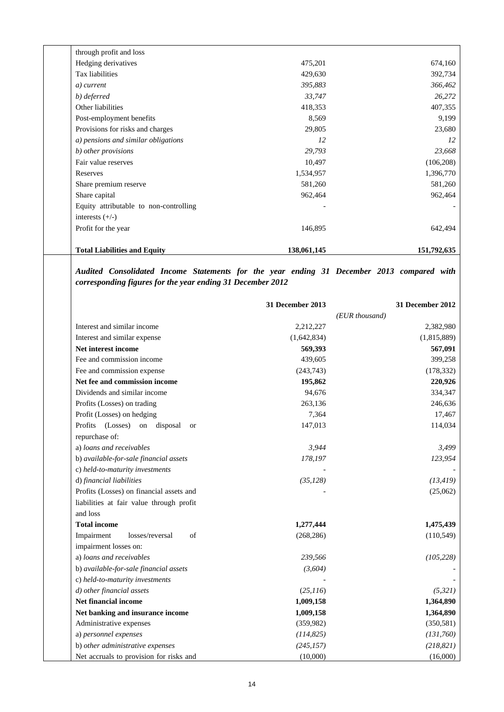| <b>Total Liabilities and Equity</b>    | 138,061,145 | 151,792,635 |
|----------------------------------------|-------------|-------------|
|                                        |             |             |
| Profit for the year                    | 146,895     | 642,494     |
| interests $(+/-)$                      |             |             |
| Equity attributable to non-controlling |             |             |
| Share capital                          | 962,464     | 962,464     |
| Share premium reserve                  | 581,260     | 581,260     |
| Reserves                               | 1,534,957   | 1,396,770   |
| Fair value reserves                    | 10,497      | (106, 208)  |
| b) other provisions                    | 29,793      | 23,668      |
| a) pensions and similar obligations    | 12          | 12          |
| Provisions for risks and charges       | 29,805      | 23,680      |
| Post-employment benefits               | 8,569       | 9,199       |
| Other liabilities                      | 418,353     | 407,355     |
| b) deferred                            | 33,747      | 26,272      |
| a) current                             | 395,883     | 366,462     |
| Tax liabilities                        | 429,630     | 392,734     |
| Hedging derivatives                    | 475,201     | 674,160     |
| through profit and loss                |             |             |

*Audited Consolidated Income Statements for the year ending 31 December 2013 compared with corresponding figures for the year ending 31 December 2012* 

|                                          | <b>31 December 2013</b> | 31 December 2012 |
|------------------------------------------|-------------------------|------------------|
|                                          |                         | (EUR thousand)   |
| Interest and similar income              | 2,212,227               | 2,382,980        |
| Interest and similar expense             | (1,642,834)             | (1,815,889)      |
| Net interest income                      | 569,393                 | 567,091          |
| Fee and commission income                | 439,605                 | 399,258          |
| Fee and commission expense               | (243,743)               | (178, 332)       |
| Net fee and commission income            | 195,862                 | 220,926          |
| Dividends and similar income             | 94,676                  | 334,347          |
| Profits (Losses) on trading              | 263,136                 | 246,636          |
| Profit (Losses) on hedging               | 7,364                   | 17,467           |
| Profits (Losses) on disposal<br>or       | 147,013                 | 114,034          |
| repurchase of:                           |                         |                  |
| a) loans and receivables                 | 3,944                   | 3,499            |
| b) available-for-sale financial assets   | 178,197                 | 123,954          |
| c) held-to-maturity investments          |                         |                  |
| d) financial liabilities                 | (35, 128)               | (13, 419)        |
| Profits (Losses) on financial assets and |                         | (25,062)         |
| liabilities at fair value through profit |                         |                  |
| and loss                                 |                         |                  |
| <b>Total income</b>                      | 1,277,444               | 1,475,439        |
| Impairment<br>losses/reversal<br>of      | (268, 286)              | (110, 549)       |
| impairment losses on:                    |                         |                  |
| a) loans and receivables                 | 239,566                 | (105, 228)       |
| b) available-for-sale financial assets   | (3,604)                 |                  |
| c) held-to-maturity investments          |                         |                  |
| d) other financial assets                | (25,116)                | (5,321)          |
| <b>Net financial income</b>              | 1,009,158               | 1,364,890        |
| Net banking and insurance income         | 1,009,158               | 1,364,890        |
| Administrative expenses                  | (359,982)               | (350, 581)       |
| a) personnel expenses                    | (114, 825)              | (131,760)        |
| b) other administrative expenses         | (245, 157)              | (218, 821)       |
| Net accruals to provision for risks and  | (10,000)                | (16,000)         |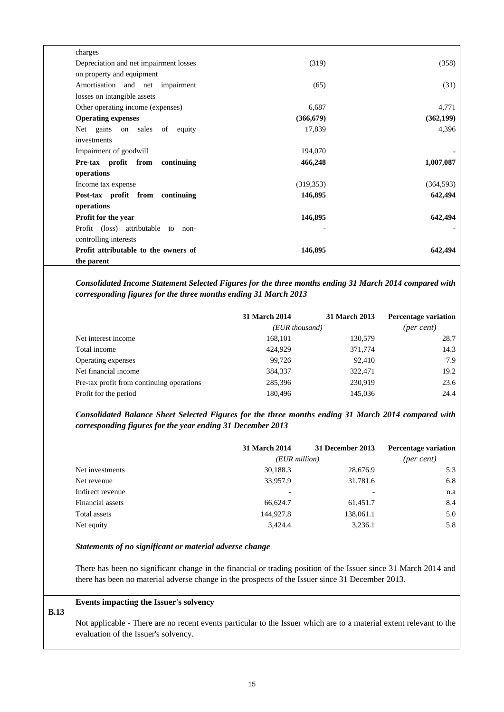| Net interest income                                                                                                                                                       | (EUR thousand)<br>168.101 | 130.579       | $(\text{per cent})$<br>28.7 |
|---------------------------------------------------------------------------------------------------------------------------------------------------------------------------|---------------------------|---------------|-----------------------------|
|                                                                                                                                                                           | <b>31 March 2014</b>      | 31 March 2013 | Percentage variation        |
| Consolidated Income Statement Selected Figures for the three months ending 31 March 2014 compared with<br>corresponding figures for the three months ending 31 March 2013 |                           |               |                             |
| the parent                                                                                                                                                                |                           |               |                             |
| Profit attributable to the owners of                                                                                                                                      | 146,895                   |               | 642,494                     |
| controlling interests                                                                                                                                                     |                           |               |                             |
| Profit (loss) attributable to non-                                                                                                                                        |                           |               |                             |
| Profit for the year                                                                                                                                                       | 146,895                   |               | 642,494                     |
| operations                                                                                                                                                                |                           |               |                             |
| Post-tax profit from continuing                                                                                                                                           | 146,895                   |               | 642,494                     |
| Income tax expense                                                                                                                                                        | (319, 353)                |               | (364, 593)                  |
| operations                                                                                                                                                                |                           |               |                             |
| Pre-tax profit from continuing                                                                                                                                            | 466,248                   |               | 1,007,087                   |
| Impairment of goodwill                                                                                                                                                    | 194,070                   |               |                             |
| investments                                                                                                                                                               |                           |               |                             |
| Net gains on sales of equity                                                                                                                                              | 17,839                    |               | 4,396                       |
| <b>Operating expenses</b>                                                                                                                                                 | (366, 679)                |               | (362, 199)                  |
| Other operating income (expenses)                                                                                                                                         | 6,687                     |               | 4,771                       |
| Amortisation and net impairment<br>losses on intangible assets                                                                                                            | (65)                      |               | (31)                        |
| on property and equipment                                                                                                                                                 |                           |               |                             |
| Depreciation and net impairment losses                                                                                                                                    | (319)                     |               | (358)                       |
| charges                                                                                                                                                                   |                           |               |                             |

| Net interest income |                                           |         |         |      |  |
|---------------------|-------------------------------------------|---------|---------|------|--|
|                     |                                           | 168,101 | 130,579 | 28.7 |  |
|                     | Total income                              | 424,929 | 371,774 | 14.3 |  |
|                     | Operating expenses                        | 99,726  | 92.410  | 7.9  |  |
|                     | Net financial income                      | 384,337 | 322,471 | 19.2 |  |
|                     | Pre-tax profit from continuing operations | 285,396 | 230,919 | 23.6 |  |
|                     | Profit for the period                     | 180.496 | 145,036 | 24.4 |  |
|                     |                                           |         |         |      |  |

*Consolidated Balance Sheet Selected Figures for the three months ending 31 March 2014 compared with corresponding figures for the year ending 31 December 2013* 

|                  | <b>31 March 2014</b> | 31 December 2013 | <b>Percentage variation</b> |
|------------------|----------------------|------------------|-----------------------------|
|                  | $(EUR$ million)      |                  | (per cent)                  |
| Net investments  | 30,188.3             | 28,676.9         | 5.3                         |
| Net revenue      | 33,957.9             | 31,781.6         | 6.8                         |
| Indirect revenue |                      |                  | n.a                         |
| Financial assets | 66,624.7             | 61,451.7         | 8.4                         |
| Total assets     | 144,927.8            | 138,061.1        | 5.0                         |
| Net equity       | 3,424.4              | 3,236.1          | 5.8                         |

## *Statements of no significant or material adverse change*

 There has been no significant change in the financial or trading position of the Issuer since 31 March 2014 and there has been no material adverse change in the prospects of the Issuer since 31 December 2013.

## **B.13 Events impacting the Issuer's solvency**

Not applicable - There are no recent events particular to the Issuer which are to a material extent relevant to the evaluation of the Issuer's solvency.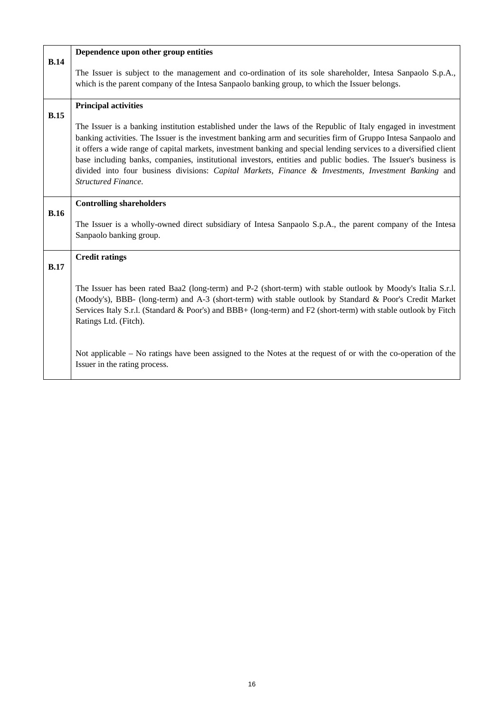| <b>B.14</b> | Dependence upon other group entities                                                                                                                                                                                                                                                                                                                                                                                                                                                                                                                                                                   |
|-------------|--------------------------------------------------------------------------------------------------------------------------------------------------------------------------------------------------------------------------------------------------------------------------------------------------------------------------------------------------------------------------------------------------------------------------------------------------------------------------------------------------------------------------------------------------------------------------------------------------------|
|             | The Issuer is subject to the management and co-ordination of its sole shareholder, Intesa Sanpaolo S.p.A.,<br>which is the parent company of the Intesa Sanpaolo banking group, to which the Issuer belongs.                                                                                                                                                                                                                                                                                                                                                                                           |
| <b>B.15</b> | <b>Principal activities</b>                                                                                                                                                                                                                                                                                                                                                                                                                                                                                                                                                                            |
|             | The Issuer is a banking institution established under the laws of the Republic of Italy engaged in investment<br>banking activities. The Issuer is the investment banking arm and securities firm of Gruppo Intesa Sanpaolo and<br>it offers a wide range of capital markets, investment banking and special lending services to a diversified client<br>base including banks, companies, institutional investors, entities and public bodies. The Issuer's business is<br>divided into four business divisions: Capital Markets, Finance & Investments, Investment Banking and<br>Structured Finance. |
| B.16        | <b>Controlling shareholders</b>                                                                                                                                                                                                                                                                                                                                                                                                                                                                                                                                                                        |
|             | The Issuer is a wholly-owned direct subsidiary of Intesa Sanpaolo S.p.A., the parent company of the Intesa<br>Sanpaolo banking group.                                                                                                                                                                                                                                                                                                                                                                                                                                                                  |
| B.17        | <b>Credit ratings</b>                                                                                                                                                                                                                                                                                                                                                                                                                                                                                                                                                                                  |
|             | The Issuer has been rated Baa2 (long-term) and P-2 (short-term) with stable outlook by Moody's Italia S.r.l.<br>(Moody's), BBB- (long-term) and A-3 (short-term) with stable outlook by Standard & Poor's Credit Market<br>Services Italy S.r.l. (Standard & Poor's) and BBB+ (long-term) and F2 (short-term) with stable outlook by Fitch<br>Ratings Ltd. (Fitch).                                                                                                                                                                                                                                    |
|             | Not applicable $-$ No ratings have been assigned to the Notes at the request of or with the co-operation of the<br>Issuer in the rating process.                                                                                                                                                                                                                                                                                                                                                                                                                                                       |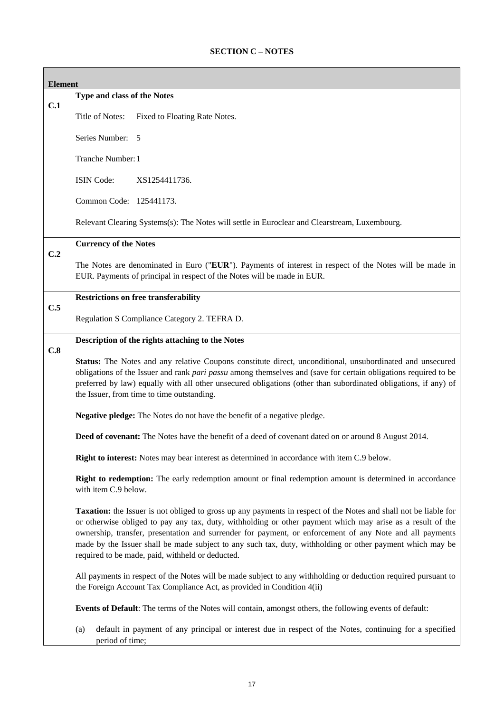# **SECTION C – NOTES**

| <b>Element</b> |                                                                                                                                                                                                                                                                                                                                                                                                                                                                                                             |
|----------------|-------------------------------------------------------------------------------------------------------------------------------------------------------------------------------------------------------------------------------------------------------------------------------------------------------------------------------------------------------------------------------------------------------------------------------------------------------------------------------------------------------------|
| C.1            | Type and class of the Notes                                                                                                                                                                                                                                                                                                                                                                                                                                                                                 |
|                | Title of Notes:<br>Fixed to Floating Rate Notes.                                                                                                                                                                                                                                                                                                                                                                                                                                                            |
|                | Series Number: 5                                                                                                                                                                                                                                                                                                                                                                                                                                                                                            |
|                | Tranche Number: 1                                                                                                                                                                                                                                                                                                                                                                                                                                                                                           |
|                | <b>ISIN Code:</b><br>XS1254411736.                                                                                                                                                                                                                                                                                                                                                                                                                                                                          |
|                | Common Code: 125441173.                                                                                                                                                                                                                                                                                                                                                                                                                                                                                     |
|                | Relevant Clearing Systems(s): The Notes will settle in Euroclear and Clearstream, Luxembourg.                                                                                                                                                                                                                                                                                                                                                                                                               |
| C.2            | <b>Currency of the Notes</b>                                                                                                                                                                                                                                                                                                                                                                                                                                                                                |
|                | The Notes are denominated in Euro ("EUR"). Payments of interest in respect of the Notes will be made in<br>EUR. Payments of principal in respect of the Notes will be made in EUR.                                                                                                                                                                                                                                                                                                                          |
|                | <b>Restrictions on free transferability</b>                                                                                                                                                                                                                                                                                                                                                                                                                                                                 |
| C.5            | Regulation S Compliance Category 2. TEFRA D.                                                                                                                                                                                                                                                                                                                                                                                                                                                                |
| C.8            | Description of the rights attaching to the Notes                                                                                                                                                                                                                                                                                                                                                                                                                                                            |
|                | Status: The Notes and any relative Coupons constitute direct, unconditional, unsubordinated and unsecured<br>obligations of the Issuer and rank pari passu among themselves and (save for certain obligations required to be<br>preferred by law) equally with all other unsecured obligations (other than subordinated obligations, if any) of<br>the Issuer, from time to time outstanding.                                                                                                               |
|                | <b>Negative pledge:</b> The Notes do not have the benefit of a negative pledge.                                                                                                                                                                                                                                                                                                                                                                                                                             |
|                | Deed of covenant: The Notes have the benefit of a deed of covenant dated on or around 8 August 2014.                                                                                                                                                                                                                                                                                                                                                                                                        |
|                | Right to interest: Notes may bear interest as determined in accordance with item C.9 below.                                                                                                                                                                                                                                                                                                                                                                                                                 |
|                | Right to redemption: The early redemption amount or final redemption amount is determined in accordance<br>with item C.9 below.                                                                                                                                                                                                                                                                                                                                                                             |
|                | Taxation: the Issuer is not obliged to gross up any payments in respect of the Notes and shall not be liable for<br>or otherwise obliged to pay any tax, duty, withholding or other payment which may arise as a result of the<br>ownership, transfer, presentation and surrender for payment, or enforcement of any Note and all payments<br>made by the Issuer shall be made subject to any such tax, duty, withholding or other payment which may be<br>required to be made, paid, withheld or deducted. |
|                | All payments in respect of the Notes will be made subject to any withholding or deduction required pursuant to<br>the Foreign Account Tax Compliance Act, as provided in Condition 4(ii)                                                                                                                                                                                                                                                                                                                    |
|                | Events of Default: The terms of the Notes will contain, amongst others, the following events of default:                                                                                                                                                                                                                                                                                                                                                                                                    |
|                | default in payment of any principal or interest due in respect of the Notes, continuing for a specified<br>(a)<br>period of time;                                                                                                                                                                                                                                                                                                                                                                           |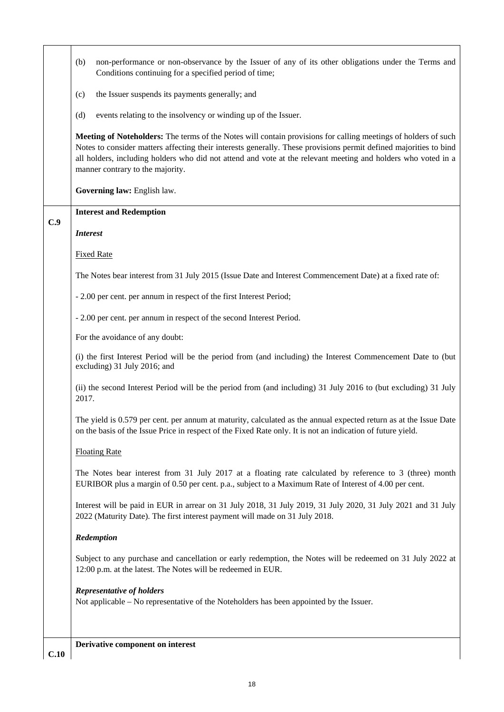|      | non-performance or non-observance by the Issuer of any of its other obligations under the Terms and<br>(b)                                                                                                                                                                                                                                                                               |
|------|------------------------------------------------------------------------------------------------------------------------------------------------------------------------------------------------------------------------------------------------------------------------------------------------------------------------------------------------------------------------------------------|
|      | Conditions continuing for a specified period of time;                                                                                                                                                                                                                                                                                                                                    |
|      | the Issuer suspends its payments generally; and<br>(c)                                                                                                                                                                                                                                                                                                                                   |
|      | events relating to the insolvency or winding up of the Issuer.<br>(d)                                                                                                                                                                                                                                                                                                                    |
|      | Meeting of Noteholders: The terms of the Notes will contain provisions for calling meetings of holders of such<br>Notes to consider matters affecting their interests generally. These provisions permit defined majorities to bind<br>all holders, including holders who did not attend and vote at the relevant meeting and holders who voted in a<br>manner contrary to the majority. |
|      | Governing law: English law.                                                                                                                                                                                                                                                                                                                                                              |
|      | <b>Interest and Redemption</b>                                                                                                                                                                                                                                                                                                                                                           |
| C.9  | <b>Interest</b>                                                                                                                                                                                                                                                                                                                                                                          |
|      | <b>Fixed Rate</b>                                                                                                                                                                                                                                                                                                                                                                        |
|      | The Notes bear interest from 31 July 2015 (Issue Date and Interest Commencement Date) at a fixed rate of:                                                                                                                                                                                                                                                                                |
|      | - 2.00 per cent. per annum in respect of the first Interest Period;                                                                                                                                                                                                                                                                                                                      |
|      | - 2.00 per cent. per annum in respect of the second Interest Period.                                                                                                                                                                                                                                                                                                                     |
|      | For the avoidance of any doubt:                                                                                                                                                                                                                                                                                                                                                          |
|      | (i) the first Interest Period will be the period from (and including) the Interest Commencement Date to (but<br>excluding) 31 July 2016; and                                                                                                                                                                                                                                             |
|      | (ii) the second Interest Period will be the period from (and including) 31 July 2016 to (but excluding) 31 July<br>2017.                                                                                                                                                                                                                                                                 |
|      | The yield is 0.579 per cent. per annum at maturity, calculated as the annual expected return as at the Issue Date<br>on the basis of the Issue Price in respect of the Fixed Rate only. It is not an indication of future yield.                                                                                                                                                         |
|      | <b>Floating Rate</b>                                                                                                                                                                                                                                                                                                                                                                     |
|      | The Notes bear interest from 31 July 2017 at a floating rate calculated by reference to 3 (three) month<br>EURIBOR plus a margin of 0.50 per cent. p.a., subject to a Maximum Rate of Interest of 4.00 per cent.                                                                                                                                                                         |
|      | Interest will be paid in EUR in arrear on 31 July 2018, 31 July 2019, 31 July 2020, 31 July 2021 and 31 July<br>2022 (Maturity Date). The first interest payment will made on 31 July 2018.                                                                                                                                                                                              |
|      | Redemption                                                                                                                                                                                                                                                                                                                                                                               |
|      | Subject to any purchase and cancellation or early redemption, the Notes will be redeemed on 31 July 2022 at<br>12:00 p.m. at the latest. The Notes will be redeemed in EUR.                                                                                                                                                                                                              |
|      | <b>Representative of holders</b><br>Not applicable – No representative of the Noteholders has been appointed by the Issuer.                                                                                                                                                                                                                                                              |
|      | Derivative component on interest                                                                                                                                                                                                                                                                                                                                                         |
| C.10 |                                                                                                                                                                                                                                                                                                                                                                                          |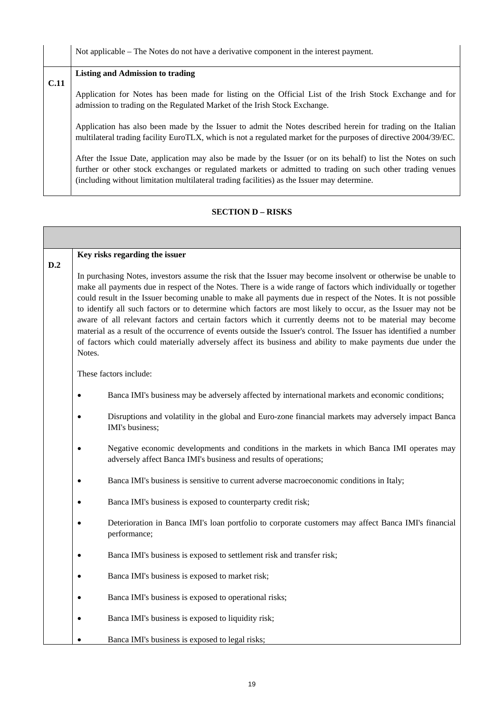| Not applicable – The Notes do not have a derivative component in the interest payment. |  |  |
|----------------------------------------------------------------------------------------|--|--|
|                                                                                        |  |  |

# **C.11 Listing and Admission to trading**  Application for Notes has been made for listing on the Official List of the Irish Stock Exchange and for admission to trading on the Regulated Market of the Irish Stock Exchange. Application has also been made by the Issuer to admit the Notes described herein for trading on the Italian multilateral trading facility EuroTLX, which is not a regulated market for the purposes of directive 2004/39/EC. After the Issue Date, application may also be made by the Issuer (or on its behalf) to list the Notes on such further or other stock exchanges or regulated markets or admitted to trading on such other trading venues (including without limitation multilateral trading facilities) as the Issuer may determine.

## **SECTION D – RISKS**

| D.2       | Key risks regarding the issuer                                                                                                                                                                                                                                                                                                                                                                                                                                                                                                                                                                                                                                                                                                                                                                                     |
|-----------|--------------------------------------------------------------------------------------------------------------------------------------------------------------------------------------------------------------------------------------------------------------------------------------------------------------------------------------------------------------------------------------------------------------------------------------------------------------------------------------------------------------------------------------------------------------------------------------------------------------------------------------------------------------------------------------------------------------------------------------------------------------------------------------------------------------------|
| Notes.    | In purchasing Notes, investors assume the risk that the Issuer may become insolvent or otherwise be unable to<br>make all payments due in respect of the Notes. There is a wide range of factors which individually or together<br>could result in the Issuer becoming unable to make all payments due in respect of the Notes. It is not possible<br>to identify all such factors or to determine which factors are most likely to occur, as the Issuer may not be<br>aware of all relevant factors and certain factors which it currently deems not to be material may become<br>material as a result of the occurrence of events outside the Issuer's control. The Issuer has identified a number<br>of factors which could materially adversely affect its business and ability to make payments due under the |
|           | These factors include:                                                                                                                                                                                                                                                                                                                                                                                                                                                                                                                                                                                                                                                                                                                                                                                             |
| $\bullet$ | Banca IMI's business may be adversely affected by international markets and economic conditions;                                                                                                                                                                                                                                                                                                                                                                                                                                                                                                                                                                                                                                                                                                                   |
| $\bullet$ | Disruptions and volatility in the global and Euro-zone financial markets may adversely impact Banca<br>IMI's business;                                                                                                                                                                                                                                                                                                                                                                                                                                                                                                                                                                                                                                                                                             |
|           | Negative economic developments and conditions in the markets in which Banca IMI operates may<br>adversely affect Banca IMI's business and results of operations;                                                                                                                                                                                                                                                                                                                                                                                                                                                                                                                                                                                                                                                   |
|           | Banca IMI's business is sensitive to current adverse macroeconomic conditions in Italy;                                                                                                                                                                                                                                                                                                                                                                                                                                                                                                                                                                                                                                                                                                                            |
|           | Banca IMI's business is exposed to counterparty credit risk;                                                                                                                                                                                                                                                                                                                                                                                                                                                                                                                                                                                                                                                                                                                                                       |
| $\bullet$ | Deterioration in Banca IMI's loan portfolio to corporate customers may affect Banca IMI's financial<br>performance;                                                                                                                                                                                                                                                                                                                                                                                                                                                                                                                                                                                                                                                                                                |
|           | Banca IMI's business is exposed to settlement risk and transfer risk;                                                                                                                                                                                                                                                                                                                                                                                                                                                                                                                                                                                                                                                                                                                                              |
|           | Banca IMI's business is exposed to market risk;                                                                                                                                                                                                                                                                                                                                                                                                                                                                                                                                                                                                                                                                                                                                                                    |
| $\bullet$ | Banca IMI's business is exposed to operational risks;                                                                                                                                                                                                                                                                                                                                                                                                                                                                                                                                                                                                                                                                                                                                                              |
|           | Banca IMI's business is exposed to liquidity risk;                                                                                                                                                                                                                                                                                                                                                                                                                                                                                                                                                                                                                                                                                                                                                                 |
|           | Banca IMI's business is exposed to legal risks;                                                                                                                                                                                                                                                                                                                                                                                                                                                                                                                                                                                                                                                                                                                                                                    |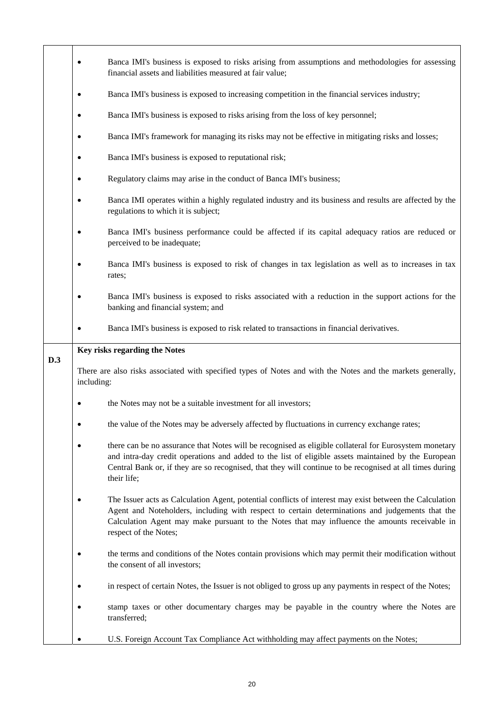|     |            | Banca IMI's business is exposed to risks arising from assumptions and methodologies for assessing<br>financial assets and liabilities measured at fair value;                                                                                                                                                                            |
|-----|------------|------------------------------------------------------------------------------------------------------------------------------------------------------------------------------------------------------------------------------------------------------------------------------------------------------------------------------------------|
|     |            | Banca IMI's business is exposed to increasing competition in the financial services industry;                                                                                                                                                                                                                                            |
|     |            | Banca IMI's business is exposed to risks arising from the loss of key personnel;                                                                                                                                                                                                                                                         |
|     |            | Banca IMI's framework for managing its risks may not be effective in mitigating risks and losses;                                                                                                                                                                                                                                        |
|     |            | Banca IMI's business is exposed to reputational risk;                                                                                                                                                                                                                                                                                    |
|     |            | Regulatory claims may arise in the conduct of Banca IMI's business;                                                                                                                                                                                                                                                                      |
|     |            | Banca IMI operates within a highly regulated industry and its business and results are affected by the<br>regulations to which it is subject;                                                                                                                                                                                            |
|     |            | Banca IMI's business performance could be affected if its capital adequacy ratios are reduced or<br>perceived to be inadequate;                                                                                                                                                                                                          |
|     |            | Banca IMI's business is exposed to risk of changes in tax legislation as well as to increases in tax<br>rates;                                                                                                                                                                                                                           |
|     |            | Banca IMI's business is exposed to risks associated with a reduction in the support actions for the<br>banking and financial system; and                                                                                                                                                                                                 |
|     |            | Banca IMI's business is exposed to risk related to transactions in financial derivatives.                                                                                                                                                                                                                                                |
| D.3 |            | Key risks regarding the Notes                                                                                                                                                                                                                                                                                                            |
|     | including: | There are also risks associated with specified types of Notes and with the Notes and the markets generally,                                                                                                                                                                                                                              |
|     |            | the Notes may not be a suitable investment for all investors;                                                                                                                                                                                                                                                                            |
|     |            | the value of the Notes may be adversely affected by fluctuations in currency exchange rates;                                                                                                                                                                                                                                             |
|     |            | there can be no assurance that Notes will be recognised as eligible collateral for Eurosystem monetary<br>and intra-day credit operations and added to the list of eligible assets maintained by the European<br>Central Bank or, if they are so recognised, that they will continue to be recognised at all times during<br>their life; |
|     |            | The Issuer acts as Calculation Agent, potential conflicts of interest may exist between the Calculation<br>Agent and Noteholders, including with respect to certain determinations and judgements that the<br>Calculation Agent may make pursuant to the Notes that may influence the amounts receivable in<br>respect of the Notes;     |
|     |            | the terms and conditions of the Notes contain provisions which may permit their modification without<br>the consent of all investors;                                                                                                                                                                                                    |
|     |            | in respect of certain Notes, the Issuer is not obliged to gross up any payments in respect of the Notes;                                                                                                                                                                                                                                 |
|     |            | stamp taxes or other documentary charges may be payable in the country where the Notes are<br>transferred;                                                                                                                                                                                                                               |
|     |            | U.S. Foreign Account Tax Compliance Act withholding may affect payments on the Notes;                                                                                                                                                                                                                                                    |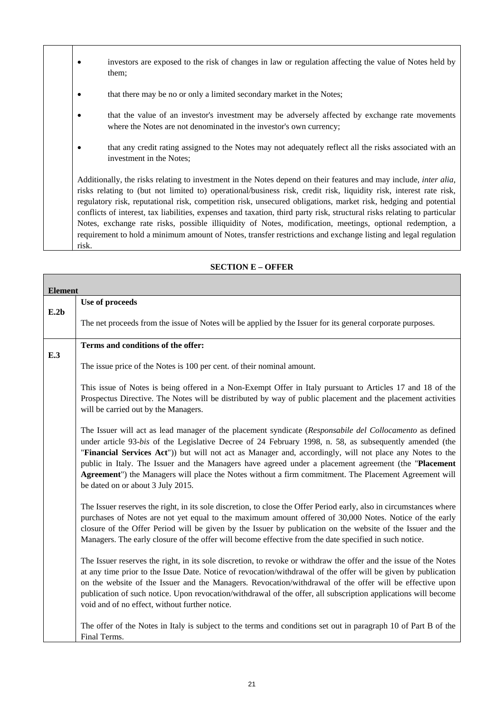- investors are exposed to the risk of changes in law or regulation affecting the value of Notes held by them;
- that there may be no or only a limited secondary market in the Notes;
- that the value of an investor's investment may be adversely affected by exchange rate movements where the Notes are not denominated in the investor's own currency;
- that any credit rating assigned to the Notes may not adequately reflect all the risks associated with an investment in the Notes;

Additionally, the risks relating to investment in the Notes depend on their features and may include, *inter alia*, risks relating to (but not limited to) operational/business risk, credit risk, liquidity risk, interest rate risk, regulatory risk, reputational risk, competition risk, unsecured obligations, market risk, hedging and potential conflicts of interest, tax liabilities, expenses and taxation, third party risk, structural risks relating to particular Notes, exchange rate risks, possible illiquidity of Notes, modification, meetings, optional redemption, a requirement to hold a minimum amount of Notes, transfer restrictions and exchange listing and legal regulation risk.

| <b>Element</b> |                                                                                                                                                                                                                                                                                                                                                                                                                                                                                                                                                                                       |
|----------------|---------------------------------------------------------------------------------------------------------------------------------------------------------------------------------------------------------------------------------------------------------------------------------------------------------------------------------------------------------------------------------------------------------------------------------------------------------------------------------------------------------------------------------------------------------------------------------------|
|                | Use of proceeds                                                                                                                                                                                                                                                                                                                                                                                                                                                                                                                                                                       |
| E.2b           | The net proceeds from the issue of Notes will be applied by the Issuer for its general corporate purposes.                                                                                                                                                                                                                                                                                                                                                                                                                                                                            |
|                | Terms and conditions of the offer:                                                                                                                                                                                                                                                                                                                                                                                                                                                                                                                                                    |
| E.3            | The issue price of the Notes is 100 per cent. of their nominal amount.                                                                                                                                                                                                                                                                                                                                                                                                                                                                                                                |
|                | This issue of Notes is being offered in a Non-Exempt Offer in Italy pursuant to Articles 17 and 18 of the<br>Prospectus Directive. The Notes will be distributed by way of public placement and the placement activities<br>will be carried out by the Managers.                                                                                                                                                                                                                                                                                                                      |
|                | The Issuer will act as lead manager of the placement syndicate (Responsabile del Collocamento as defined<br>under article 93-bis of the Legislative Decree of 24 February 1998, n. 58, as subsequently amended (the<br>"Financial Services Act")) but will not act as Manager and, accordingly, will not place any Notes to the<br>public in Italy. The Issuer and the Managers have agreed under a placement agreement (the "Placement<br>Agreement") the Managers will place the Notes without a firm commitment. The Placement Agreement will<br>be dated on or about 3 July 2015. |
|                | The Issuer reserves the right, in its sole discretion, to close the Offer Period early, also in circumstances where<br>purchases of Notes are not yet equal to the maximum amount offered of 30,000 Notes. Notice of the early<br>closure of the Offer Period will be given by the Issuer by publication on the website of the Issuer and the<br>Managers. The early closure of the offer will become effective from the date specified in such notice.                                                                                                                               |
|                | The Issuer reserves the right, in its sole discretion, to revoke or withdraw the offer and the issue of the Notes<br>at any time prior to the Issue Date. Notice of revocation/withdrawal of the offer will be given by publication<br>on the website of the Issuer and the Managers. Revocation/withdrawal of the offer will be effective upon<br>publication of such notice. Upon revocation/withdrawal of the offer, all subscription applications will become<br>void and of no effect, without further notice.                                                                   |
|                | The offer of the Notes in Italy is subject to the terms and conditions set out in paragraph 10 of Part B of the<br>Final Terms.                                                                                                                                                                                                                                                                                                                                                                                                                                                       |

## **SECTION E – OFFER**